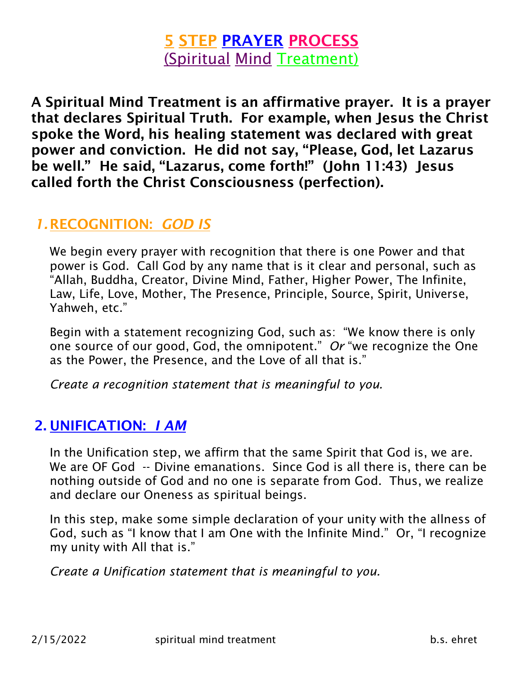# 5 STEP PRAYER PROCESS (Spiritual Mind Treatment)

A Spiritual Mind Treatment is an affirmative prayer. It is a prayer that declares Spiritual Truth. For example, when Jesus the Christ spoke the Word, his healing statement was declared with great power and conviction. He did not say, "Please, God, let Lazarus be well." He said, "Lazarus, come forth!" (John 11:43) Jesus called forth the Christ Consciousness (perfection).

### *1.*RECOGNITION: *GOD IS*

We begin every prayer with recognition that there is one Power and that power is God. Call God by any name that is it clear and personal, such as "Allah, Buddha, Creator, Divine Mind, Father, Higher Power, The Infinite, Law, Life, Love, Mother, The Presence, Principle, Source, Spirit, Universe, Yahweh, etc."

Begin with a statement recognizing God, such as: "We know there is only one source of our good, God, the omnipotent." *Or* "we recognize the One as the Power, the Presence, and the Love of all that is."

*Create a recognition statement that is meaningful to you.*

### 2. UNIFICATION: *I AM*

In the Unification step, we affirm that the same Spirit that God is, we are. We are OF God -- Divine emanations. Since God is all there is, there can be nothing outside of God and no one is separate from God. Thus, we realize and declare our Oneness as spiritual beings.

In this step, make some simple declaration of your unity with the allness of God, such as "I know that I am One with the Infinite Mind." Or, "I recognize my unity with All that is."

*Create a Unification statement that is meaningful to you.*